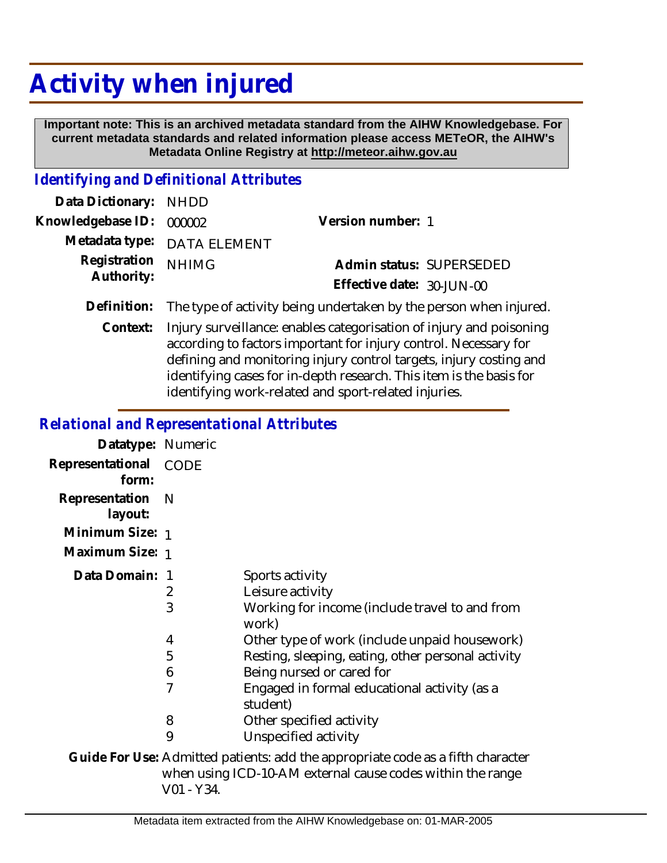## **Activity when injured**

 **Important note: This is an archived metadata standard from the AIHW Knowledgebase. For current metadata standards and related information please access METeOR, the AIHW's Metadata Online Registry at http://meteor.aihw.gov.au**

## *Identifying and Definitional Attributes*

| Data Dictionary: NHDD    |                                                                               |                           |                          |
|--------------------------|-------------------------------------------------------------------------------|---------------------------|--------------------------|
| Knowledgebase ID: 000002 |                                                                               | Version number: 1         |                          |
|                          | Metadata type: DATA ELEMENT                                                   |                           |                          |
| Registration NHIMG       |                                                                               |                           | Admin status: SUPERSEDED |
| Authority:               |                                                                               | Effective date: 30-JUN-00 |                          |
|                          | Definition: The type of activity being undertaken by the person when injured. |                           |                          |

Context: Injury surveillance: enables categorisation of injury and poisoning according to factors important for injury control. Necessary for defining and monitoring injury control targets, injury costing and identifying cases for in-depth research. This item is the basis for identifying work-related and sport-related injuries.

## *Relational and Representational Attributes*

| Datatype: Numeric              |     |                                                                                 |
|--------------------------------|-----|---------------------------------------------------------------------------------|
| Representational CODE<br>form: |     |                                                                                 |
| Representation<br>layout:      | - N |                                                                                 |
| Minimum Size: 1                |     |                                                                                 |
| Maximum Size: 1                |     |                                                                                 |
| Data Domain: 1                 |     | Sports activity                                                                 |
|                                | 2   | Leisure activity                                                                |
|                                | 3   | Working for income (include travel to and from<br>work)                         |
|                                | 4   | Other type of work (include unpaid housework)                                   |
|                                | 5   | Resting, sleeping, eating, other personal activity                              |
|                                | 6   | Being nursed or cared for                                                       |
|                                | 7   | Engaged in formal educational activity (as a<br>student)                        |
|                                | 8   | Other specified activity                                                        |
|                                | 9   | Unspecified activity                                                            |
|                                |     | Guide For Use: Admitted patients: add the appropriate code as a fifth character |

when using ICD-10-AM external cause codes within the range V01 - Y34.